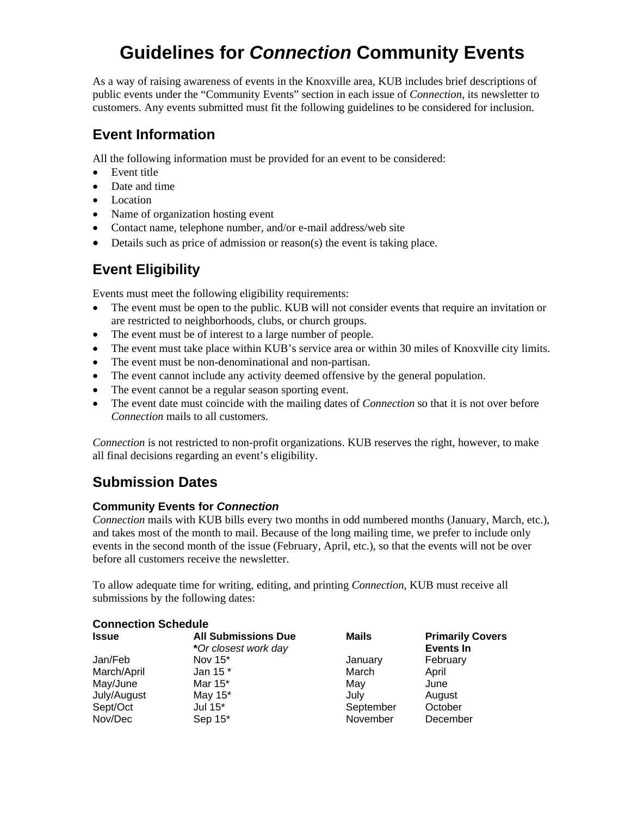# **Guidelines for** *Connection* **Community Events**

As a way of raising awareness of events in the Knoxville area, KUB includes brief descriptions of public events under the "Community Events" section in each issue of *Connection*, its newsletter to customers. Any events submitted must fit the following guidelines to be considered for inclusion.

#### **Event Information**

All the following information must be provided for an event to be considered:

- Event title
- Date and time
- Location
- Name of organization hosting event
- Contact name, telephone number, and/or e-mail address/web site
- Details such as price of admission or reason(s) the event is taking place.

## **Event Eligibility**

Events must meet the following eligibility requirements:

- The event must be open to the public. KUB will not consider events that require an invitation or are restricted to neighborhoods, clubs, or church groups.
- The event must be of interest to a large number of people.
- The event must take place within KUB's service area or within 30 miles of Knoxville city limits.
- The event must be non-denominational and non-partisan.
- The event cannot include any activity deemed offensive by the general population.
- The event cannot be a regular season sporting event.
- The event date must coincide with the mailing dates of *Connection* so that it is not over before *Connection* mails to all customers.

*Connection* is not restricted to non-profit organizations. KUB reserves the right, however, to make all final decisions regarding an event's eligibility.

### **Submission Dates**

#### **Community Events for** *Connection*

*Connection* mails with KUB bills every two months in odd numbered months (January, March, etc.), and takes most of the month to mail. Because of the long mailing time, we prefer to include only events in the second month of the issue (February, April, etc.), so that the events will not be over before all customers receive the newsletter.

To allow adequate time for writing, editing, and printing *Connection*, KUB must receive all submissions by the following dates:

| <b>Connection Schedule</b> |                                                    |           |                                             |
|----------------------------|----------------------------------------------------|-----------|---------------------------------------------|
| <b>Issue</b>               | <b>All Submissions Due</b><br>*Or closest work day | Mails     | <b>Primarily Covers</b><br><b>Events In</b> |
| Jan/Feb                    | Nov $15^*$                                         | January   | February                                    |
| March/April                | Jan 15 *                                           | March     | April                                       |
| May/June                   | Mar 15*                                            | May       | June                                        |
| July/August                | May 15*                                            | July      | August                                      |
| Sept/Oct                   | Jul 15*                                            | September | October                                     |
| Nov/Dec                    | Sep 15*                                            | November  | December                                    |